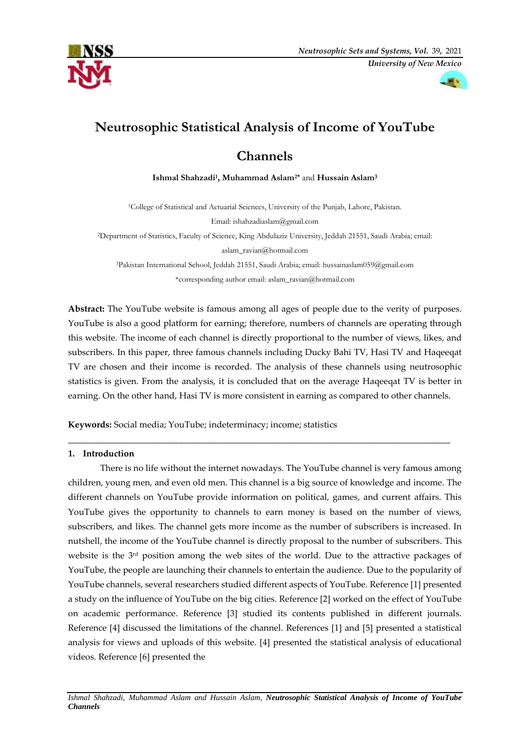



# **Neutrosophic Statistical Analysis of Income of YouTube**

# **Channels**

**Ishmal Shahzadi<sup>1</sup> , Muhammad Aslam2\*** and **Hussain Aslam<sup>3</sup>**

<sup>1</sup>College of Statistical and Actuarial Sciences, University of the Punjab, Lahore, Pakistan. Email: [ishahzadiaslam@gmail.com](mailto:ishahzadiaslam@gmail.com) <sup>2</sup>Department of Statistics, Faculty of Science, King Abdulaziz University, Jeddah 21551, Saudi Arabia; email: [aslam\\_ravian@hotmail.com](mailto:aslam_ravian@hotmail.com) <sup>3</sup>Pakistan International School, Jeddah 21551, Saudi Arabia; email[: hussainaslam059@gmail.com](mailto:hussainaslam059@gmail.com) \*corresponding author email: [aslam\\_ravian@hotmail.com](mailto:aslam_ravian@hotmail.com)

**Abstract:** The YouTube website is famous among all ages of people due to the verity of purposes. YouTube is also a good platform for earning; therefore, numbers of channels are operating through this website. The income of each channel is directly proportional to the number of views, likes, and subscribers. In this paper, three famous channels including Ducky Bahi TV, Hasi TV and Haqeeqat TV are chosen and their income is recorded. The analysis of these channels using neutrosophic statistics is given. From the analysis, it is concluded that on the average Haqeeqat TV is better in earning. On the other hand, Hasi TV is more consistent in earning as compared to other channels.

\_\_\_\_\_\_\_\_\_\_\_\_\_\_\_\_\_\_\_\_\_\_\_\_\_\_\_\_\_\_\_\_\_\_\_\_\_\_\_\_\_\_\_\_\_\_\_\_\_\_\_\_\_\_\_\_\_\_\_\_\_\_\_\_\_\_\_\_\_\_\_\_\_\_\_\_\_\_\_\_\_\_\_\_\_\_

**Keywords:** Social media; YouTube; indeterminacy; income; statistics

## **1. Introduction**

There is no life without the internet nowadays. The YouTube channel is very famous among children, young men, and even old men. This channel is a big source of knowledge and income. The different channels on YouTube provide information on political, games, and current affairs. This YouTube gives the opportunity to channels to earn money is based on the number of views, subscribers, and likes. The channel gets more income as the number of subscribers is increased. In nutshell, the income of the YouTube channel is directly proposal to the number of subscribers. This website is the 3<sup>rd</sup> position among the web sites of the world. Due to the attractive packages of YouTube, the people are launching their channels to entertain the audience. Due to the popularity of YouTube channels, several researchers studied different aspects of YouTube. Reference [\[1\]](#page-4-0) presented a study on the influence of YouTube on the big cities. Reference [\[2\]](#page-4-1) worked on the effect of YouTube on academic performance. Reference [\[3\]](#page-4-2) studied its contents published in different journals. Reference [\[4\]](#page-4-3) discussed the limitations of the channel. References [\[1\]](#page-4-0) and [\[5\]](#page-4-4) presented a statistical analysis for views and uploads of this website. [\[4\]](#page-4-3) presented the statistical analysis of educational videos. Reference [\[6\]](#page-4-5) presented the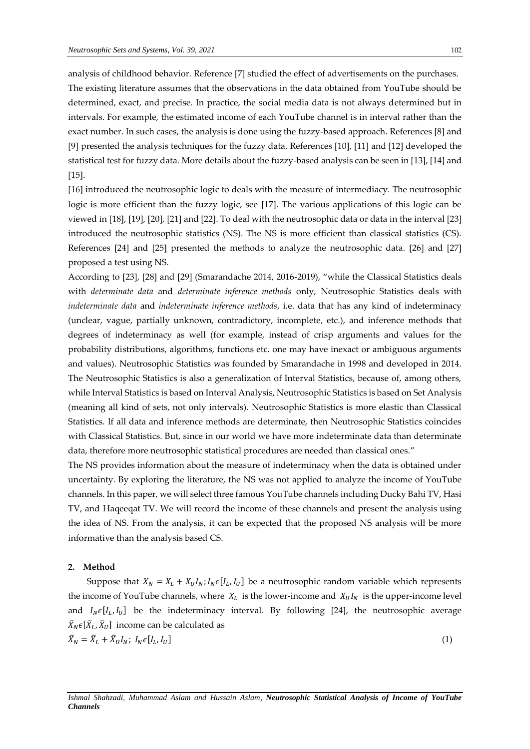analysis of childhood behavior. Reference [\[7\]](#page-4-6) studied the effect of advertisements on the purchases. The existing literature assumes that the observations in the data obtained from YouTube should be determined, exact, and precise. In practice, the social media data is not always determined but in intervals. For example, the estimated income of each YouTube channel is in interval rather than the exact number. In such cases, the analysis is done using the fuzzy-based approach. References [\[8\]](#page-4-7) and [\[9\]](#page-4-8) presented the analysis techniques for the fuzzy data. References [\[10\]](#page-5-0), [\[11\]](#page-5-1) and [\[12\]](#page-5-2) developed the statistical test for fuzzy data. More details about the fuzzy-based analysis can be seen in [\[13\]](#page-5-3), [\[14\]](#page-5-4) and [\[15\]](#page-5-5).

[\[16\]](#page-5-6) introduced the neutrosophic logic to deals with the measure of intermediacy. The neutrosophic logic is more efficient than the fuzzy logic, see [\[17\]](#page-5-7). The various applications of this logic can be viewed in [\[18\]](#page-5-8), [\[19\]](#page-5-9), [\[20\]](#page-5-10), [\[21\]](#page-5-11) and [\[22\]](#page-5-12). To deal with the neutrosophic data or data in the interval [\[23\]](#page-5-13) introduced the neutrosophic statistics (NS). The NS is more efficient than classical statistics (CS). References [\[24\]](#page-5-14) and [\[25\]](#page-5-15) presented the methods to analyze the neutrosophic data. [\[26\]](#page-5-16) and [\[27\]](#page-5-17) proposed a test using NS.

According to [\[23\]](#page-5-13), [\[28\]](#page-5-18) and [\[29\]](#page-5-19) (Smarandache 2014, 2016-2019), "while the Classical Statistics deals with *determinate data* and *determinate inference methods* only, Neutrosophic Statistics deals with *indeterminate data* and *indeterminate inference methods*, i.e. data that has any kind of indeterminacy (unclear, vague, partially unknown, contradictory, incomplete, etc.), and inference methods that degrees of indeterminacy as well (for example, instead of crisp arguments and values for the probability distributions, algorithms, functions etc. one may have inexact or ambiguous arguments and values). Neutrosophic Statistics was founded by Smarandache in 1998 and developed in 2014. The Neutrosophic Statistics is also a generalization of Interval Statistics, because of, among others, while Interval Statistics is based on Interval Analysis, Neutrosophic Statistics is based on Set Analysis (meaning all kind of sets, not only intervals). Neutrosophic Statistics is more elastic than Classical Statistics. If all data and inference methods are determinate, then Neutrosophic Statistics coincides with Classical Statistics. But, since in our world we have more indeterminate data than determinate data, therefore more neutrosophic statistical procedures are needed than classical ones."

The NS provides information about the measure of indeterminacy when the data is obtained under uncertainty. By exploring the literature, the NS was not applied to analyze the income of YouTube channels. In this paper, we will select three famous YouTube channels including Ducky Bahi TV, Hasi TV, and Haqeeqat TV. We will record the income of these channels and present the analysis using the idea of NS. From the analysis, it can be expected that the proposed NS analysis will be more informative than the analysis based CS.

#### **2. Method**

Suppose that  $X_N = X_L + X_U I_N$ ;  $I_N \in [I_L, I_U]$  be a neutrosophic random variable which represents the income of YouTube channels, where  $X_L$  is the lower-income and  $X_U I_N$  is the upper-income level and  $I_N \epsilon [I_L, I_U]$  be the indeterminacy interval. By following [\[24\]](#page-5-14), the neutrosophic average  $\bar{X}_N \epsilon [\bar{X}_L, \bar{X}_U]$  income can be calculated as  $\bar{X}_N = \bar{X}_L + \bar{X}_U I_N; I_N \epsilon[I_L, I_U]$  $\left(1\right)$ 

*Ishmal Shahzadi, Muhammad Aslam and Hussain Aslam, Neutrosophic Statistical Analysis of Income of YouTube Channels*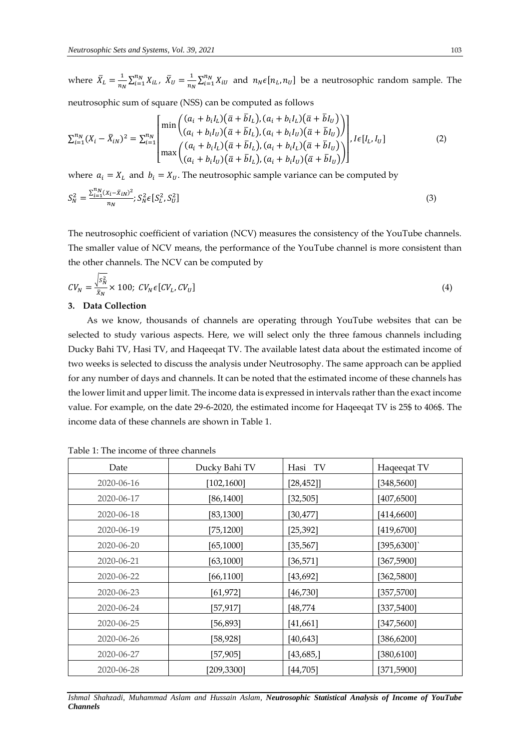where  $\bar{X}_L = \frac{1}{n}$  $\frac{1}{n_N} \sum_{i=1}^{n_N} X_{iL}, \ \ \bar{X}_U = \frac{1}{n_l}$  $\frac{1}{n_N} \sum_{i=1}^{n_N} X_{iU}$  and  $n_N \epsilon [n_L, n_U]$  be a neutrosophic random sample. The

neutrosophic sum of square (NSS) can be computed as follows

$$
\sum_{i=1}^{n_N} (X_i - \bar{X}_{iN})^2 = \sum_{i=1}^{n_N} \begin{bmatrix} \min\left( \frac{(a_i + b_i I_L)(\bar{a} + \bar{b} I_L), (a_i + b_i I_L)(\bar{a} + \bar{b} I_U)}{(a_i + b_i I_U)(\bar{a} + \bar{b} I_L), (a_i + b_i I_U)(\bar{a} + \bar{b} I_U)} \right) \\ \max\left( \frac{(a_i + b_i I_L)(\bar{a} + \bar{b} I_L), (a_i + b_i I_L)(\bar{a} + \bar{b} I_U)}{(a_i + b_i I_U)(\bar{a} + \bar{b} I_L), (a_i + b_i I_U)(\bar{a} + \bar{b} I_U)} \right) \end{bmatrix}, I \in [I_L, I_U]
$$
\n(2)

where  $a_i = X_L$  and  $b_i = X_U$ . The neutrosophic sample variance can be computed by

$$
S_N^2 = \frac{\sum_{i=1}^{n_N} (x_i - \bar{x}_{iN})^2}{n_N}; S_N^2 \epsilon [S_L^2, S_U^2]
$$
\n(3)

The neutrosophic coefficient of variation (NCV) measures the consistency of the YouTube channels. The smaller value of NCV means, the performance of the YouTube channel is more consistent than the other channels. The NCV can be computed by

$$
CV_N = \frac{\sqrt{s_N^2}}{\bar{x}_N} \times 100; \ CV_N \epsilon [CV_L, CV_U]
$$
\n
$$
(4)
$$

### **3. Data Collection**

As we know, thousands of channels are operating through YouTube websites that can be selected to study various aspects. Here, we will select only the three famous channels including Ducky Bahi TV, Hasi TV, and Haqeeqat TV. The available latest data about the estimated income of two weeks is selected to discuss the analysis under Neutrosophy. The same approach can be applied for any number of days and channels. It can be noted that the estimated income of these channels has the lower limit and upper limit. The income data is expressed in intervals rather than the exact income value. For example, on the date 29-6-2020, the estimated income for Haqeeqat TV is 25\$ to 406\$. The income data of these channels are shown in Table 1.

| Date       | Ducky Bahi TV | Hasi TV   | Haqeeqat TV |
|------------|---------------|-----------|-------------|
| 2020-06-16 | [102, 1600]   | [28, 452] | [348, 5600] |
| 2020-06-17 | [86,1400]     | [32, 505] | [407, 6500] |
| 2020-06-18 | [83, 1300]    | [30, 477] | [414,6600]  |
| 2020-06-19 | [75, 1200]    | [25, 392] | [419,6700]  |
| 2020-06-20 | [65, 1000]    | [35, 567] | [395, 6300] |
| 2020-06-21 | [63, 1000]    | [36, 571] | [367,5900]  |
| 2020-06-22 | [66, 1100]    | [43, 692] | [362,5800]  |
| 2020-06-23 | [61, 972]     | [46, 730] | [357, 5700] |
| 2020-06-24 | [57, 917]     | [48, 774] | [337,5400]  |
| 2020-06-25 | [56, 893]     | [41,661]  | [347,5600]  |
| 2020-06-26 | [58, 928]     | [40, 643] | [386, 6200] |
| 2020-06-27 | [57,905]      | [43, 685] | [380,6100]  |
| 2020-06-28 | [209, 3300]   | [44,705]  | [371, 5900] |

Table 1: The income of three channels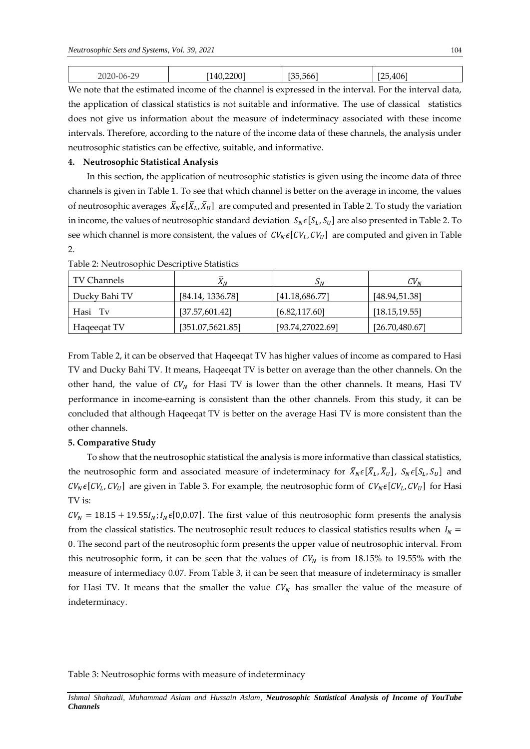| $\cap$<br>J6-1<br>--<br>$\sim$<br>$-\circ$ | $200^{\circ}$<br>7H<br>1 1 V | $F \cap F$<br>$-1$<br>.hhh | $\lambda$ $\sim$ $\sim$ $\sim$<br>.406<br>. |
|--------------------------------------------|------------------------------|----------------------------|---------------------------------------------|
|--------------------------------------------|------------------------------|----------------------------|---------------------------------------------|

We note that the estimated income of the channel is expressed in the interval. For the interval data, the application of classical statistics is not suitable and informative. The use of classical statistics does not give us information about the measure of indeterminacy associated with these income intervals. Therefore, according to the nature of the income data of these channels, the analysis under neutrosophic statistics can be effective, suitable, and informative.

### **4. Neutrosophic Statistical Analysis**

In this section, the application of neutrosophic statistics is given using the income data of three channels is given in Table 1. To see that which channel is better on the average in income, the values of neutrosophic averages  $\bar{X}_N \epsilon[\bar{X}_L, \bar{X}_U]$  are computed and presented in Table 2. To study the variation in income, the values of neutrosophic standard deviation  $S_N \epsilon [S_L, S_U]$  are also presented in Table 2. To see which channel is more consistent, the values of  $CV_N \epsilon [CV_L, CV_U]$  are computed and given in Table 2.

| l TV Channels | $\Lambda_N$       | $S_N$            | $CV_{N}$        |
|---------------|-------------------|------------------|-----------------|
| Ducky Bahi TV | [84.14, 1336.78]  | [41.18,686.77]   | [48.94, 51.38]  |
| Hasi Tv       | [37.57, 601.42]   | [6.82, 117.60]   | [18.15, 19.55]  |
| Hage eqat TV  | [351.07, 5621.85] | [93.74,27022.69] | [26.70, 480.67] |

Table 2: Neutrosophic Descriptive Statistics

From Table 2, it can be observed that Haqeeqat TV has higher values of income as compared to Hasi TV and Ducky Bahi TV. It means, Haqeeqat TV is better on average than the other channels. On the other hand, the value of  $CV<sub>N</sub>$  for Hasi TV is lower than the other channels. It means, Hasi TV performance in income-earning is consistent than the other channels. From this study, it can be concluded that although Haqeeqat TV is better on the average Hasi TV is more consistent than the other channels.

## **5. Comparative Study**

To show that the neutrosophic statistical the analysis is more informative than classical statistics, the neutrosophic form and associated measure of indeterminacy for  $\bar{X}_N \in [\bar{X}_L, \bar{X}_U]$ ,  $S_N \in [S_L, S_U]$  and  $CV_N \epsilon [CV_L, CV_U]$  are given in Table 3. For example, the neutrosophic form of  $CV_N \epsilon [CV_L, CV_U]$  for Hasi TV is:

 $CV_N = 18.15 + 19.55I_N$ ;  $I_N \epsilon [0,0.07]$ . The first value of this neutrosophic form presents the analysis from the classical statistics. The neutrosophic result reduces to classical statistics results when  $I_N =$ 0. The second part of the neutrosophic form presents the upper value of neutrosophic interval. From this neutrosophic form, it can be seen that the values of  $CV<sub>N</sub>$  is from 18.15% to 19.55% with the measure of intermediacy 0.07. From Table 3, it can be seen that measure of indeterminacy is smaller for Hasi TV. It means that the smaller the value  $CV<sub>N</sub>$  has smaller the value of the measure of indeterminacy.

Table 3: Neutrosophic forms with measure of indeterminacy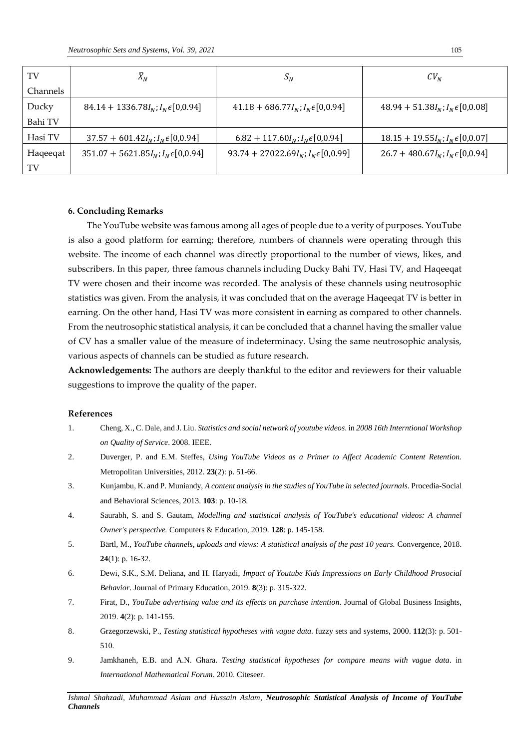| TV       | $\bar{X}_N$                                 | $S_N$                                            | CV <sub>N</sub>                         |
|----------|---------------------------------------------|--------------------------------------------------|-----------------------------------------|
| Channels |                                             |                                                  |                                         |
| Ducky    | $84.14 + 1336.78I_N; I_N \epsilon [0,0.94]$ | $41.18 + 686.77I_N; I_N \in [0,0.94]$            | $48.94 + 51.38I_N; I_N \in [0,0.08]$    |
| Bahi TV  |                                             |                                                  |                                         |
| Hasi TV  | $37.57 + 601.42I_N; I_N \epsilon [0,0.94]$  | $6.82 + 117.60I_N; I_N \epsilon [0, 0.94]$       | $18.15 + 19.55I_N; I_N \in [0, 0.07]$   |
| Haqeeqat | $351.07 + 5621.85I_N; I_N \in [0,0.94]$     | 93.74 + 27022.69 $I_N$ ; $I_N \epsilon [0,0.99]$ | $26.7 + 480.67I_N$ ; $I_N \in [0,0.94]$ |
| TV       |                                             |                                                  |                                         |

#### **6. Concluding Remarks**

The YouTube website was famous among all ages of people due to a verity of purposes. YouTube is also a good platform for earning; therefore, numbers of channels were operating through this website. The income of each channel was directly proportional to the number of views, likes, and subscribers. In this paper, three famous channels including Ducky Bahi TV, Hasi TV, and Haqeeqat TV were chosen and their income was recorded. The analysis of these channels using neutrosophic statistics was given. From the analysis, it was concluded that on the average Haqeeqat TV is better in earning. On the other hand, Hasi TV was more consistent in earning as compared to other channels. From the neutrosophic statistical analysis, it can be concluded that a channel having the smaller value of CV has a smaller value of the measure of indeterminacy. Using the same neutrosophic analysis, various aspects of channels can be studied as future research.

**Acknowledgements:** The authors are deeply thankful to the editor and reviewers for their valuable suggestions to improve the quality of the paper.

#### **References**

- <span id="page-4-0"></span>1. Cheng, X., C. Dale, and J. Liu. *Statistics and social network of youtube videos*. in *2008 16th Interntional Workshop on Quality of Service*. 2008. IEEE.
- <span id="page-4-1"></span>2. Duverger, P. and E.M. Steffes, *Using YouTube Videos as a Primer to Affect Academic Content Retention.* Metropolitan Universities, 2012. **23**(2): p. 51-66.
- <span id="page-4-2"></span>3. Kunjambu, K. and P. Muniandy, *A content analysis in the studies of YouTube in selected journals.* Procedia-Social and Behavioral Sciences, 2013. **103**: p. 10-18.
- <span id="page-4-3"></span>4. Saurabh, S. and S. Gautam, *Modelling and statistical analysis of YouTube's educational videos: A channel Owner's perspective.* Computers & Education, 2019. **128**: p. 145-158.
- <span id="page-4-4"></span>5. Bärtl, M., *YouTube channels, uploads and views: A statistical analysis of the past 10 years.* Convergence, 2018. **24**(1): p. 16-32.
- <span id="page-4-5"></span>6. Dewi, S.K., S.M. Deliana, and H. Haryadi, *Impact of Youtube Kids Impressions on Early Childhood Prosocial Behavior.* Journal of Primary Education, 2019. **8**(3): p. 315-322.
- <span id="page-4-6"></span>7. Firat, D., *YouTube advertising value and its effects on purchase intention.* Journal of Global Business Insights, 2019. **4**(2): p. 141-155.
- <span id="page-4-7"></span>8. Grzegorzewski, P., *Testing statistical hypotheses with vague data.* fuzzy sets and systems, 2000. **112**(3): p. 501- 510.
- <span id="page-4-8"></span>9. Jamkhaneh, E.B. and A.N. Ghara. *Testing statistical hypotheses for compare means with vague data*. in *International Mathematical Forum*. 2010. Citeseer.